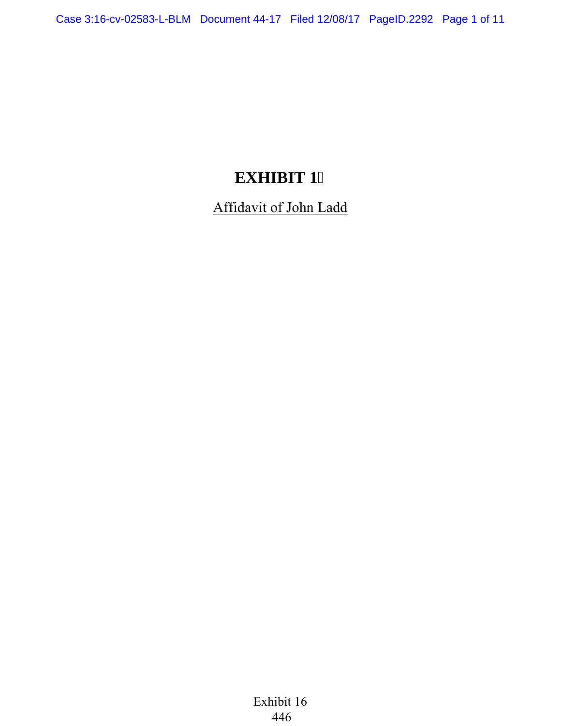## **EXHIBIT 1**

Affidavit of John Ladd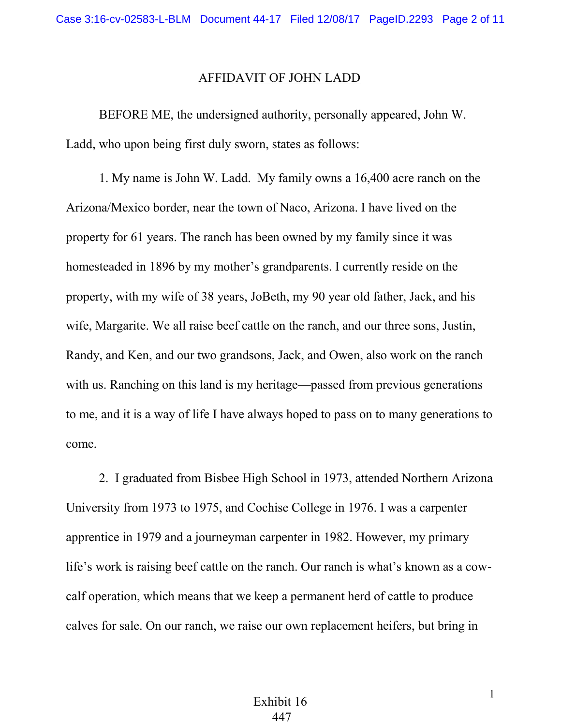## AFFIDAVIT OF JOHN LADD

BEFORE ME, the undersigned authority, personally appeared, John W. Ladd, who upon being first duly sworn, states as follows:

1. My name is John W. Ladd. My family owns a 16,400 acre ranch on the Arizona/Mexico border, near the town of Naco, Arizona. I have lived on the property for 61 years. The ranch has been owned by my family since it was homesteaded in 1896 by my mother's grandparents. I currently reside on the property, with my wife of 38 years, JoBeth, my 90 year old father, Jack, and his wife, Margarite. We all raise beef cattle on the ranch, and our three sons, Justin, Randy, and Ken, and our two grandsons, Jack, and Owen, also work on the ranch with us. Ranching on this land is my heritage—passed from previous generations to me, and it is a way of life I have always hoped to pass on to many generations to come.

2. I graduated from Bisbee High School in 1973, attended Northern Arizona University from 1973 to 1975, and Cochise College in 1976. I was a carpenter apprentice in 1979 and a journeyman carpenter in 1982. However, my primary life's work is raising beef cattle on the ranch. Our ranch is what's known as a cowcalf operation, which means that we keep a permanent herd of cattle to produce calves for sale. On our ranch, we raise our own replacement heifers, but bring in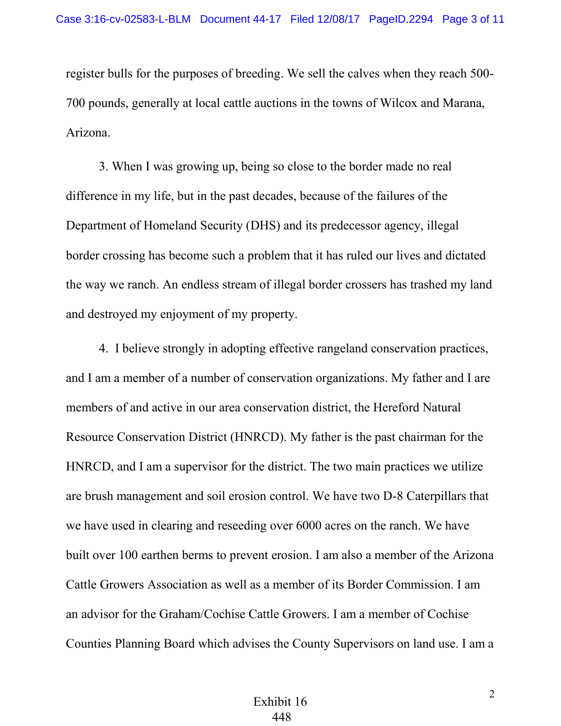register bulls for the purposes of breeding. We sell the calves when they reach 500- 700 pounds, generally at local cattle auctions in the towns of Wilcox and Marana, Arizona.

3. When I was growing up, being so close to the border made no real difference in my life, but in the past decades, because of the failures of the Department of Homeland Security (DHS) and its predecessor agency, illegal border crossing has become such a problem that it has ruled our lives and dictated the way we ranch. An endless stream of illegal border crossers has trashed my land and destroyed my enjoyment of my property.

4. I believe strongly in adopting effective rangeland conservation practices, and I am a member of a number of conservation organizations. My father and I are members of and active in our area conservation district, the Hereford Natural Resource Conservation District (HNRCD). My father is the past chairman for the HNRCD, and I am a supervisor for the district. The two main practices we utilize are brush management and soil erosion control. We have two D-8 Caterpillars that we have used in clearing and reseeding over 6000 acres on the ranch. We have built over 100 earthen berms to prevent erosion. I am also a member of the Arizona Cattle Growers Association as well as a member of its Border Commission. I am an advisor for the Graham/Cochise Cattle Growers. I am a member of Cochise Counties Planning Board which advises the County Supervisors on land use. I am a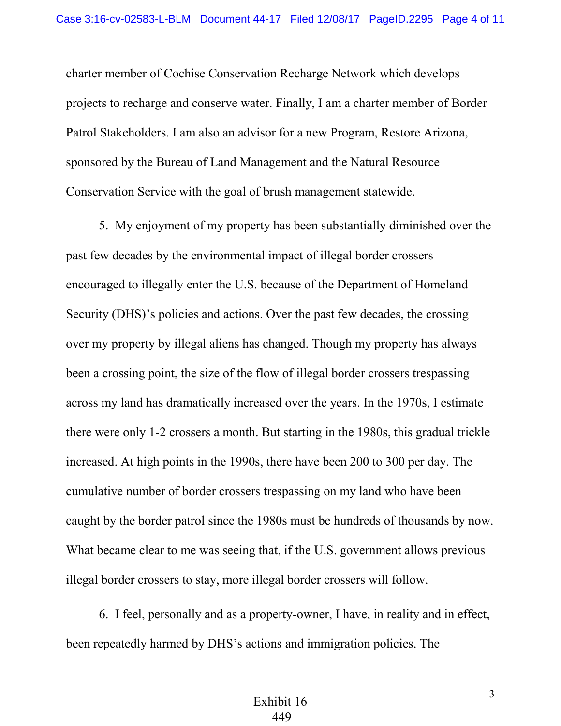charter member of Cochise Conservation Recharge Network which develops projects to recharge and conserve water. Finally, I am a charter member of Border Patrol Stakeholders. I am also an advisor for a new Program, Restore Arizona, sponsored by the Bureau of Land Management and the Natural Resource Conservation Service with the goal of brush management statewide.

5. My enjoyment of my property has been substantially diminished over the past few decades by the environmental impact of illegal border crossers encouraged to illegally enter the U.S. because of the Department of Homeland Security (DHS)'s policies and actions. Over the past few decades, the crossing over my property by illegal aliens has changed. Though my property has always been a crossing point, the size of the flow of illegal border crossers trespassing across my land has dramatically increased over the years. In the 1970s, I estimate there were only 1-2 crossers a month. But starting in the 1980s, this gradual trickle increased. At high points in the 1990s, there have been 200 to 300 per day. The cumulative number of border crossers trespassing on my land who have been caught by the border patrol since the 1980s must be hundreds of thousands by now. What became clear to me was seeing that, if the U.S. government allows previous illegal border crossers to stay, more illegal border crossers will follow.

6. I feel, personally and as a property-owner, I have, in reality and in effect, been repeatedly harmed by DHS's actions and immigration policies. The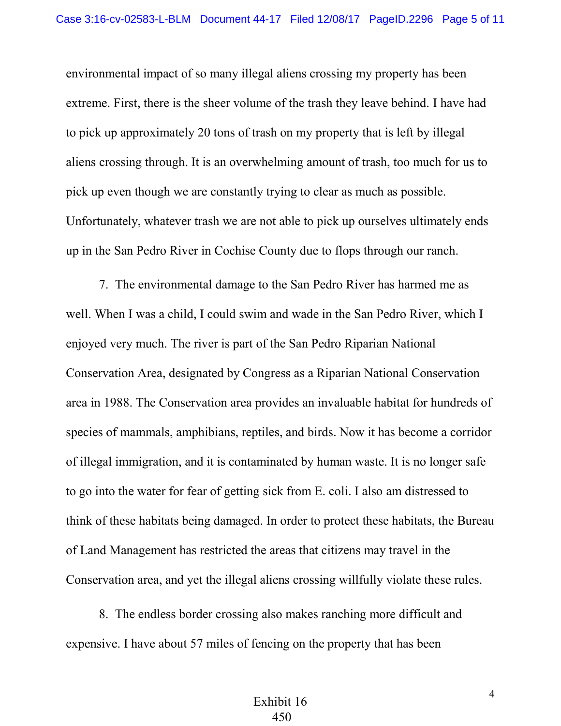environmental impact of so many illegal aliens crossing my property has been extreme. First, there is the sheer volume of the trash they leave behind. I have had to pick up approximately 20 tons of trash on my property that is left by illegal aliens crossing through. It is an overwhelming amount of trash, too much for us to pick up even though we are constantly trying to clear as much as possible. Unfortunately, whatever trash we are not able to pick up ourselves ultimately ends up in the San Pedro River in Cochise County due to flops through our ranch.

7. The environmental damage to the San Pedro River has harmed me as well. When I was a child, I could swim and wade in the San Pedro River, which I enjoyed very much. The river is part of the San Pedro Riparian National Conservation Area, designated by Congress as a Riparian National Conservation area in 1988. The Conservation area provides an invaluable habitat for hundreds of species of mammals, amphibians, reptiles, and birds. Now it has become a corridor of illegal immigration, and it is contaminated by human waste. It is no longer safe to go into the water for fear of getting sick from E. coli. I also am distressed to think of these habitats being damaged. In order to protect these habitats, the Bureau of Land Management has restricted the areas that citizens may travel in the Conservation area, and yet the illegal aliens crossing willfully violate these rules.

8. The endless border crossing also makes ranching more difficult and expensive. I have about 57 miles of fencing on the property that has been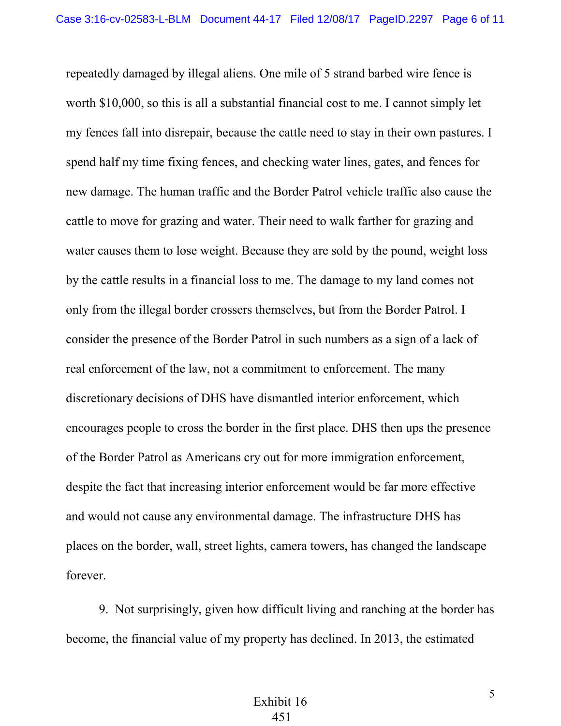repeatedly damaged by illegal aliens. One mile of 5 strand barbed wire fence is worth \$10,000, so this is all a substantial financial cost to me. I cannot simply let my fences fall into disrepair, because the cattle need to stay in their own pastures. I spend half my time fixing fences, and checking water lines, gates, and fences for new damage. The human traffic and the Border Patrol vehicle traffic also cause the cattle to move for grazing and water. Their need to walk farther for grazing and water causes them to lose weight. Because they are sold by the pound, weight loss by the cattle results in a financial loss to me. The damage to my land comes not only from the illegal border crossers themselves, but from the Border Patrol. I consider the presence of the Border Patrol in such numbers as a sign of a lack of real enforcement of the law, not a commitment to enforcement. The many discretionary decisions of DHS have dismantled interior enforcement, which encourages people to cross the border in the first place. DHS then ups the presence of the Border Patrol as Americans cry out for more immigration enforcement, despite the fact that increasing interior enforcement would be far more effective and would not cause any environmental damage. The infrastructure DHS has places on the border, wall, street lights, camera towers, has changed the landscape forever.

9. Not surprisingly, given how difficult living and ranching at the border has become, the financial value of my property has declined. In 2013, the estimated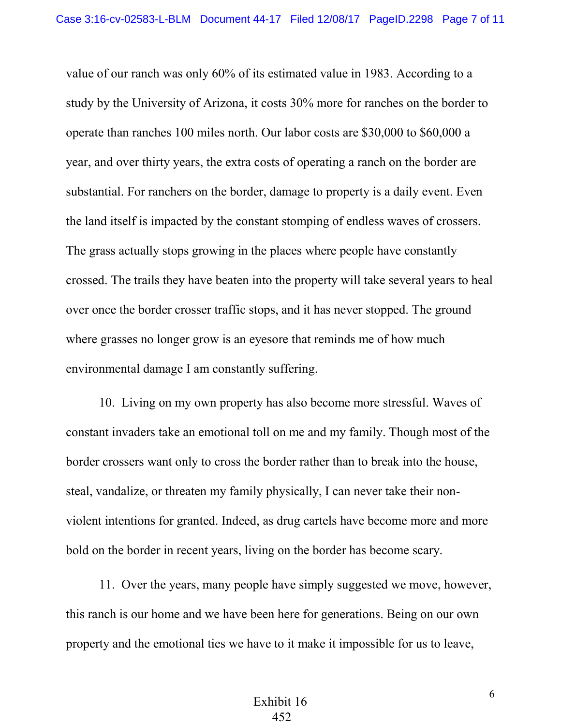value of our ranch was only 60% of its estimated value in 1983. According to a study by the University of Arizona, it costs 30% more for ranches on the border to operate than ranches 100 miles north. Our labor costs are \$30,000 to \$60,000 a year, and over thirty years, the extra costs of operating a ranch on the border are substantial. For ranchers on the border, damage to property is a daily event. Even the land itself is impacted by the constant stomping of endless waves of crossers. The grass actually stops growing in the places where people have constantly crossed. The trails they have beaten into the property will take several years to heal over once the border crosser traffic stops, and it has never stopped. The ground where grasses no longer grow is an eyesore that reminds me of how much environmental damage I am constantly suffering.

10. Living on my own property has also become more stressful. Waves of constant invaders take an emotional toll on me and my family. Though most of the border crossers want only to cross the border rather than to break into the house, steal, vandalize, or threaten my family physically, I can never take their nonviolent intentions for granted. Indeed, as drug cartels have become more and more bold on the border in recent years, living on the border has become scary.

11. Over the years, many people have simply suggested we move, however, this ranch is our home and we have been here for generations. Being on our own property and the emotional ties we have to it make it impossible for us to leave,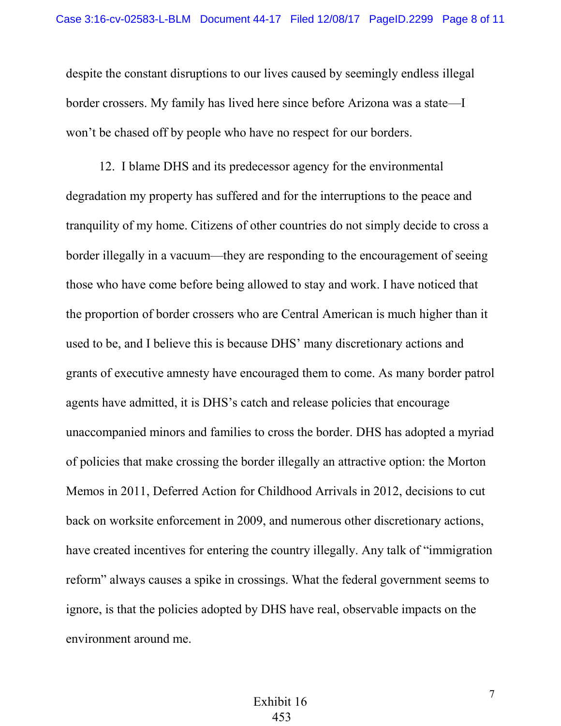despite the constant disruptions to our lives caused by seemingly endless illegal border crossers. My family has lived here since before Arizona was a state—I won't be chased off by people who have no respect for our borders.

12. I blame DHS and its predecessor agency for the environmental degradation my property has suffered and for the interruptions to the peace and tranquility of my home. Citizens of other countries do not simply decide to cross a border illegally in a vacuum—they are responding to the encouragement of seeing those who have come before being allowed to stay and work. I have noticed that the proportion of border crossers who are Central American is much higher than it used to be, and I believe this is because DHS' many discretionary actions and grants of executive amnesty have encouraged them to come. As many border patrol agents have admitted, it is DHS's catch and release policies that encourage unaccompanied minors and families to cross the border. DHS has adopted a myriad of policies that make crossing the border illegally an attractive option: the Morton Memos in 2011, Deferred Action for Childhood Arrivals in 2012, decisions to cut back on worksite enforcement in 2009, and numerous other discretionary actions, have created incentives for entering the country illegally. Any talk of "immigration reform" always causes a spike in crossings. What the federal government seems to ignore, is that the policies adopted by DHS have real, observable impacts on the environment around me.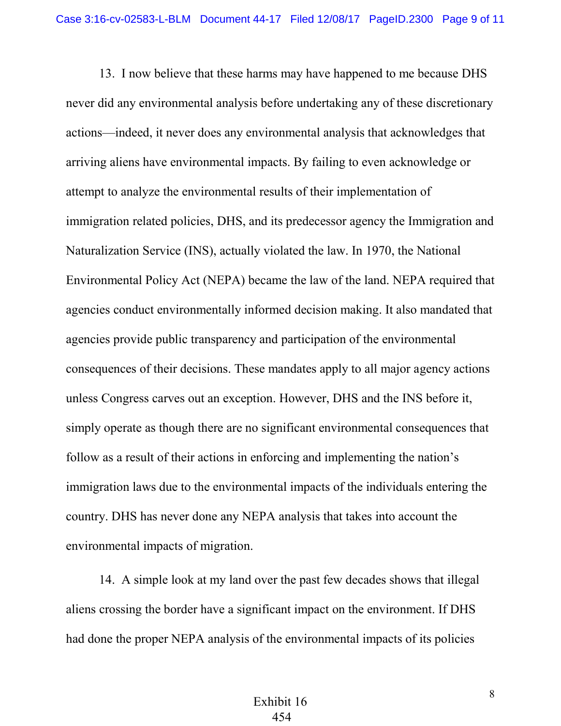13. I now believe that these harms may have happened to me because DHS never did any environmental analysis before undertaking any of these discretionary actions—indeed, it never does any environmental analysis that acknowledges that arriving aliens have environmental impacts. By failing to even acknowledge or attempt to analyze the environmental results of their implementation of immigration related policies, DHS, and its predecessor agency the Immigration and Naturalization Service (INS), actually violated the law. In 1970, the National Environmental Policy Act (NEPA) became the law of the land. NEPA required that agencies conduct environmentally informed decision making. It also mandated that agencies provide public transparency and participation of the environmental consequences of their decisions. These mandates apply to all major agency actions unless Congress carves out an exception. However, DHS and the INS before it, simply operate as though there are no significant environmental consequences that follow as a result of their actions in enforcing and implementing the nation's immigration laws due to the environmental impacts of the individuals entering the country. DHS has never done any NEPA analysis that takes into account the environmental impacts of migration.

14. A simple look at my land over the past few decades shows that illegal aliens crossing the border have a significant impact on the environment. If DHS had done the proper NEPA analysis of the environmental impacts of its policies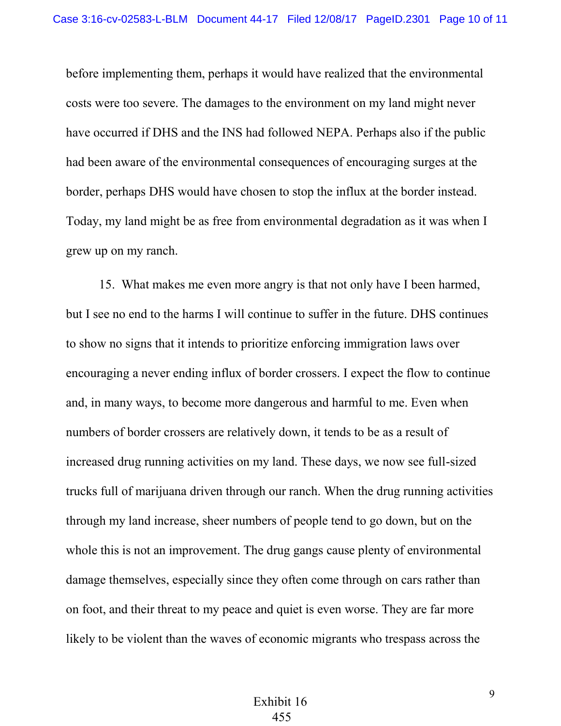before implementing them, perhaps it would have realized that the environmental costs were too severe. The damages to the environment on my land might never have occurred if DHS and the INS had followed NEPA. Perhaps also if the public had been aware of the environmental consequences of encouraging surges at the border, perhaps DHS would have chosen to stop the influx at the border instead. Today, my land might be as free from environmental degradation as it was when I grew up on my ranch.

15. What makes me even more angry is that not only have I been harmed, but I see no end to the harms I will continue to suffer in the future. DHS continues to show no signs that it intends to prioritize enforcing immigration laws over encouraging a never ending influx of border crossers. I expect the flow to continue and, in many ways, to become more dangerous and harmful to me. Even when numbers of border crossers are relatively down, it tends to be as a result of increased drug running activities on my land. These days, we now see full-sized trucks full of marijuana driven through our ranch. When the drug running activities through my land increase, sheer numbers of people tend to go down, but on the whole this is not an improvement. The drug gangs cause plenty of environmental damage themselves, especially since they often come through on cars rather than on foot, and their threat to my peace and quiet is even worse. They are far more likely to be violent than the waves of economic migrants who trespass across the